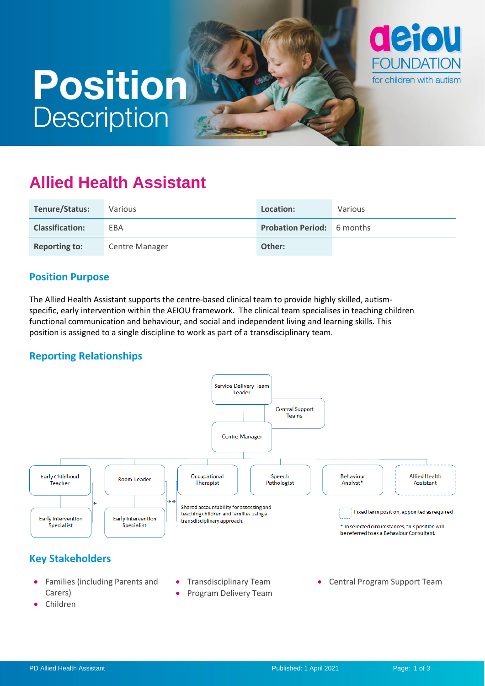# **Position Description**



# **Allied Health Assistant**

| Tenure/Status:         | Various        | Location:                         | Various |
|------------------------|----------------|-----------------------------------|---------|
| <b>Classification:</b> | EBA            | <b>Probation Period:</b> 6 months |         |
| <b>Reporting to:</b>   | Centre Manager | Other:                            |         |

### **Position Purpose**

The Allied Health Assistant supports the centre-based clinical team to provide highly skilled, autismspecific, early intervention within the AEIOU framework. The clinical team specialises in teaching children functional communication and behaviour, and social and independent living and learning skills. This position is assigned to a single discipline to work as part of a transdisciplinary team.

# **Reporting Relationships**



• Program Delivery Team

Carers) • Children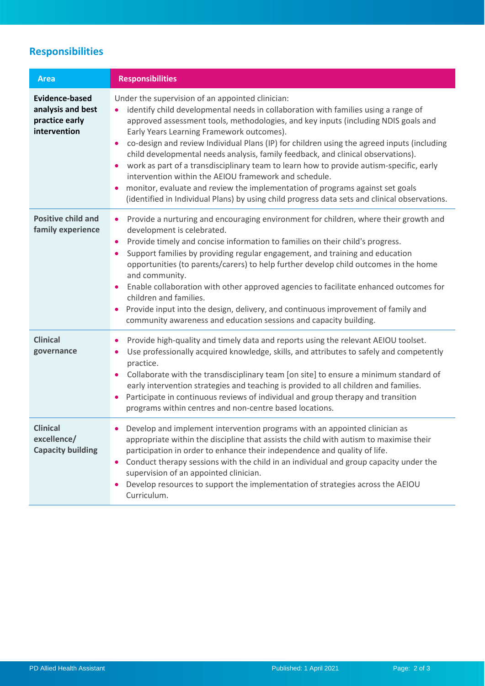# **Responsibilities**

| <b>Area</b>                                                                  | <b>Responsibilities</b>                                                                                                                                                                                                                                                                                                                                                                                                                                                                                                                                                                                                                                                                                                                                                                                        |
|------------------------------------------------------------------------------|----------------------------------------------------------------------------------------------------------------------------------------------------------------------------------------------------------------------------------------------------------------------------------------------------------------------------------------------------------------------------------------------------------------------------------------------------------------------------------------------------------------------------------------------------------------------------------------------------------------------------------------------------------------------------------------------------------------------------------------------------------------------------------------------------------------|
| <b>Evidence-based</b><br>analysis and best<br>practice early<br>intervention | Under the supervision of an appointed clinician:<br>identify child developmental needs in collaboration with families using a range of<br>approved assessment tools, methodologies, and key inputs (including NDIS goals and<br>Early Years Learning Framework outcomes).<br>co-design and review Individual Plans (IP) for children using the agreed inputs (including<br>child developmental needs analysis, family feedback, and clinical observations).<br>work as part of a transdisciplinary team to learn how to provide autism-specific, early<br>$\bullet$<br>intervention within the AEIOU framework and schedule.<br>monitor, evaluate and review the implementation of programs against set goals<br>(identified in Individual Plans) by using child progress data sets and clinical observations. |
| <b>Positive child and</b><br>family experience                               | Provide a nurturing and encouraging environment for children, where their growth and<br>$\bullet$<br>development is celebrated.<br>Provide timely and concise information to families on their child's progress.<br>٠<br>Support families by providing regular engagement, and training and education<br>opportunities (to parents/carers) to help further develop child outcomes in the home<br>and community.<br>Enable collaboration with other approved agencies to facilitate enhanced outcomes for<br>$\bullet$<br>children and families.<br>Provide input into the design, delivery, and continuous improvement of family and<br>community awareness and education sessions and capacity building.                                                                                                      |
| <b>Clinical</b><br>governance                                                | Provide high-quality and timely data and reports using the relevant AEIOU toolset.<br>$\bullet$<br>Use professionally acquired knowledge, skills, and attributes to safely and competently<br>practice.<br>Collaborate with the transdisciplinary team [on site] to ensure a minimum standard of<br>$\bullet$<br>early intervention strategies and teaching is provided to all children and families.<br>Participate in continuous reviews of individual and group therapy and transition<br>programs within centres and non-centre based locations.                                                                                                                                                                                                                                                           |
| <b>Clinical</b><br>excellence/<br><b>Capacity building</b>                   | Develop and implement intervention programs with an appointed clinician as<br>appropriate within the discipline that assists the child with autism to maximise their<br>participation in order to enhance their independence and quality of life.<br>Conduct therapy sessions with the child in an individual and group capacity under the<br>supervision of an appointed clinician.<br>Develop resources to support the implementation of strategies across the AEIOU<br>$\bullet$<br>Curriculum.                                                                                                                                                                                                                                                                                                             |